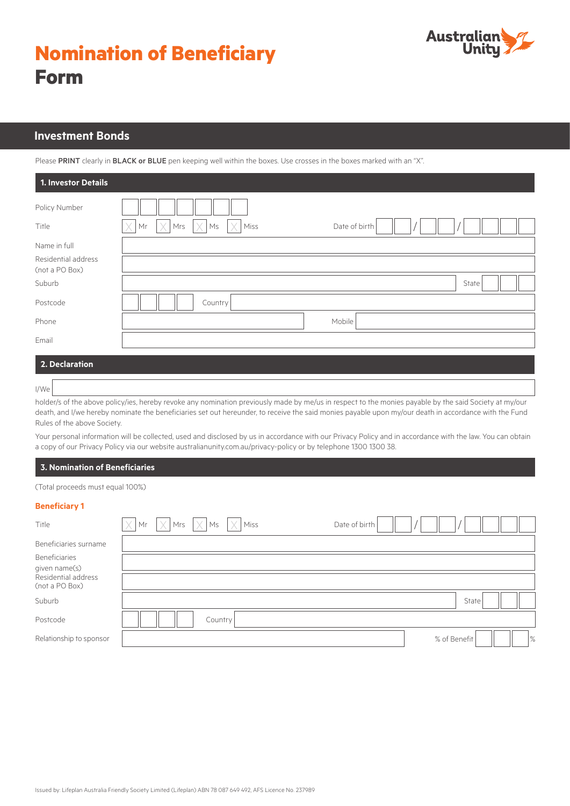# **Nomination of Beneficiary Form**



# **Investment Bonds**

Please PRINT clearly in BLACK or BLUE pen keeping well within the boxes. Use crosses in the boxes marked with an "X".

| 1. Investor Details                   |                                                    |
|---------------------------------------|----------------------------------------------------|
| Policy Number                         |                                                    |
| Title                                 | X<br>X<br>Miss<br>Date of birth<br>Mrs<br>Ms<br>Мr |
| Name in full                          |                                                    |
| Residential address<br>(not a PO Box) |                                                    |
| Suburb                                | State                                              |
| Postcode                              | Country                                            |
| Phone                                 | Mobile                                             |
| Email                                 |                                                    |
| 2. Declaration                        |                                                    |

#### I/We

holder/s of the above policy/ies, hereby revoke any nomination previously made by me/us in respect to the monies payable by the said Society at my/our death, and I/we hereby nominate the beneficiaries set out hereunder, to receive the said monies payable upon my/our death in accordance with the Fund Rules of the above Society.

Your personal information will be collected, used and disclosed by us in accordance with our Privacy Policy and in accordance with the law. You can obtain a copy of our Privacy Policy via our website australianunity.com.au/privacy-policy or by telephone 1300 1300 38.

## **3. Nomination of Beneficiaries**

(Total proceeds must equal 100%)

#### **Beneficiary 1**

| Title                                 | $\overline{X}$ Mr $\overline{X}$ Mrs $\overline{X}$ Ms $\overline{X}$ Miss |         | Date of birth |                               |
|---------------------------------------|----------------------------------------------------------------------------|---------|---------------|-------------------------------|
| Beneficiaries surname                 |                                                                            |         |               |                               |
| <b>Beneficiaries</b>                  |                                                                            |         |               |                               |
| given name(s)                         |                                                                            |         |               |                               |
| Residential address<br>(not a PO Box) |                                                                            |         |               |                               |
| Suburb                                |                                                                            |         |               | State                         |
| Postcode                              |                                                                            | Country |               |                               |
| Relationship to sponsor               |                                                                            |         |               | $\frac{9}{6}$<br>% of Benefit |